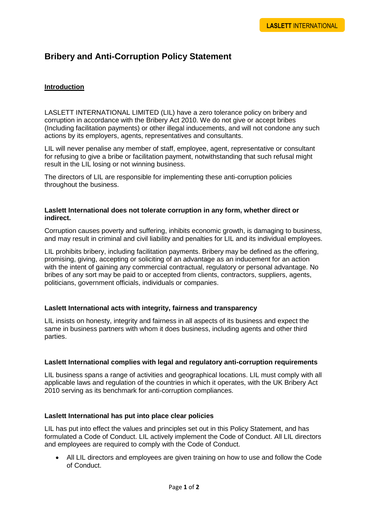# **Bribery and Anti-Corruption Policy Statement**

# **Introduction**

LASLETT INTERNATIONAL LIMITED (LIL) have a zero tolerance policy on bribery and corruption in accordance with the Bribery Act 2010. We do not give or accept bribes (Including facilitation payments) or other illegal inducements, and will not condone any such actions by its employers, agents, representatives and consultants.

LIL will never penalise any member of staff, employee, agent, representative or consultant for refusing to give a bribe or facilitation payment, notwithstanding that such refusal might result in the LIL losing or not winning business.

The directors of LIL are responsible for implementing these anti-corruption policies throughout the business.

## **Laslett International does not tolerate corruption in any form, whether direct or indirect.**

Corruption causes poverty and suffering, inhibits economic growth, is damaging to business, and may result in criminal and civil liability and penalties for LIL and its individual employees.

LIL prohibits bribery, including facilitation payments. Bribery may be defined as the offering, promising, giving, accepting or soliciting of an advantage as an inducement for an action with the intent of gaining any commercial contractual, regulatory or personal advantage. No bribes of any sort may be paid to or accepted from clients, contractors, suppliers, agents, politicians, government officials, individuals or companies.

## **Laslett International acts with integrity, fairness and transparency**

LIL insists on honesty, integrity and fairness in all aspects of its business and expect the same in business partners with whom it does business, including agents and other third parties.

#### **Laslett International complies with legal and regulatory anti-corruption requirements**

LIL business spans a range of activities and geographical locations. LIL must comply with all applicable laws and regulation of the countries in which it operates, with the UK Bribery Act 2010 serving as its benchmark for anti-corruption compliances.

#### **Laslett International has put into place clear policies**

LIL has put into effect the values and principles set out in this Policy Statement, and has formulated a Code of Conduct. LIL actively implement the Code of Conduct. All LIL directors and employees are required to comply with the Code of Conduct.

 All LIL directors and employees are given training on how to use and follow the Code of Conduct.